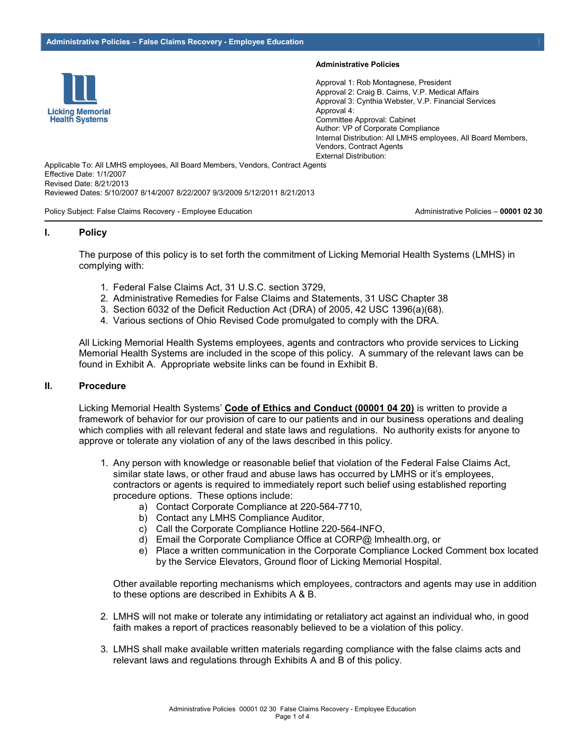

#### **Administrative Policies**

Approval 1: Rob Montagnese, President Approval 2: Craig B. Cairns, V.P. Medical Affairs Approval 3: Cynthia Webster, V.P. Financial Services Approval 4: Committee Approval: Cabinet Author: VP of Corporate Compliance Internal Distribution: All LMHS employees, All Board Members, Vendors, Contract Agents External Distribution:

Applicable To: All LMHS employees, All Board Members, Vendors, Contract Agents Effective Date: 1/1/2007 Revised Date: 8/21/2013 Reviewed Dates: 5/10/2007 8/14/2007 8/22/2007 9/3/2009 5/12/2011 8/21/2013

Policy Subject: False Claims Recovery - Employee Education **Administrative Policies - 00001 02 30** Policies - 00001 02 30

#### **I. Policy**

The purpose of this policy is to set forth the commitment of Licking Memorial Health Systems (LMHS) in complying with:

- 1. Federal False Claims Act, 31 U.S.C. section 3729,
- 2. Administrative Remedies for False Claims and Statements, 31 USC Chapter 38
- 3. Section 6032 of the Deficit Reduction Act (DRA) of 2005, 42 USC 1396(a)(68).
- 4. Various sections of Ohio Revised Code promulgated to comply with the DRA.

All Licking Memorial Health Systems employees, agents and contractors who provide services to Licking Memorial Health Systems are included in the scope of this policy. A summary of the relevant laws can be found in Exhibit A. Appropriate website links can be found in Exhibit B.

#### **II. Procedure**

Licking Memorial Health Systems' **Code of Ethics and Conduct (00001 04 20)** is written to provide a framework of behavior for our provision of care to our patients and in our business operations and dealing which complies with all relevant federal and state laws and regulations. No authority exists for anyone to approve or tolerate any violation of any of the laws described in this policy.

- 1. Any person with knowledge or reasonable belief that violation of the Federal False Claims Act, similar state laws, or other fraud and abuse laws has occurred by LMHS or it's employees, contractors or agents is required to immediately report such belief using established reporting procedure options. These options include:
	- a) Contact Corporate Compliance at 220-564-7710,
	- b) Contact any LMHS Compliance Auditor,
	- c) Call the Corporate Compliance Hotline 220-564-INFO,
	- d) Email the Corporate Compliance Office at CORP@ lmhealth.org, or
	- e) Place a written communication in the Corporate Compliance Locked Comment box located by the Service Elevators, Ground floor of Licking Memorial Hospital.

 Other available reporting mechanisms which employees, contractors and agents may use in addition to these options are described in Exhibits A & B.

- 2. LMHS will not make or tolerate any intimidating or retaliatory act against an individual who, in good faith makes a report of practices reasonably believed to be a violation of this policy.
- 3. LMHS shall make available written materials regarding compliance with the false claims acts and relevant laws and regulations through Exhibits A and B of this policy.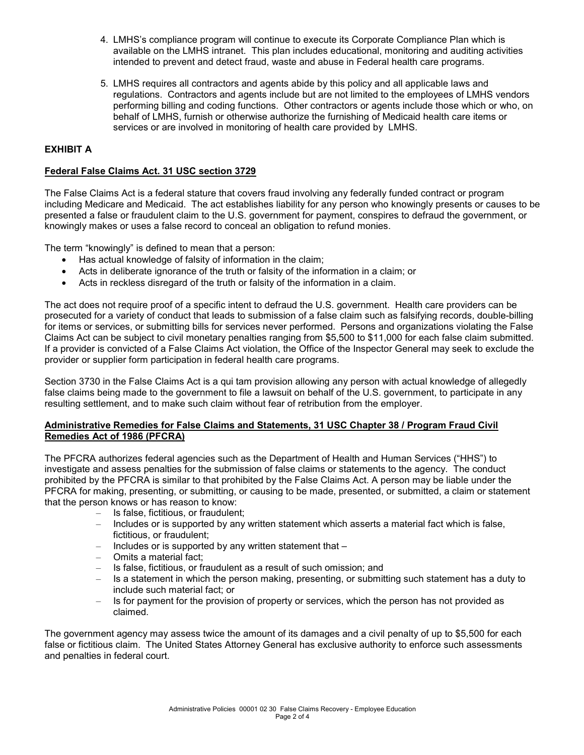- 4. LMHS's compliance program will continue to execute its Corporate Compliance Plan which is available on the LMHS intranet. This plan includes educational, monitoring and auditing activities intended to prevent and detect fraud, waste and abuse in Federal health care programs.
- 5. LMHS requires all contractors and agents abide by this policy and all applicable laws and regulations. Contractors and agents include but are not limited to the employees of LMHS vendors performing billing and coding functions. Other contractors or agents include those which or who, on behalf of LMHS, furnish or otherwise authorize the furnishing of Medicaid health care items or services or are involved in monitoring of health care provided by LMHS.

## **EXHIBIT A**

## **Federal False Claims Act. 31 USC section 3729**

The False Claims Act is a federal stature that covers fraud involving any federally funded contract or program including Medicare and Medicaid. The act establishes liability for any person who knowingly presents or causes to be presented a false or fraudulent claim to the U.S. government for payment, conspires to defraud the government, or knowingly makes or uses a false record to conceal an obligation to refund monies.

The term "knowingly" is defined to mean that a person:

- Has actual knowledge of falsity of information in the claim;
- Acts in deliberate ignorance of the truth or falsity of the information in a claim; or
- Acts in reckless disregard of the truth or falsity of the information in a claim.

The act does not require proof of a specific intent to defraud the U.S. government. Health care providers can be prosecuted for a variety of conduct that leads to submission of a false claim such as falsifying records, double-billing for items or services, or submitting bills for services never performed. Persons and organizations violating the False Claims Act can be subject to civil monetary penalties ranging from \$5,500 to \$11,000 for each false claim submitted. If a provider is convicted of a False Claims Act violation, the Office of the Inspector General may seek to exclude the provider or supplier form participation in federal health care programs.

Section 3730 in the False Claims Act is a qui tam provision allowing any person with actual knowledge of allegedly false claims being made to the government to file a lawsuit on behalf of the U.S. government, to participate in any resulting settlement, and to make such claim without fear of retribution from the employer.

### **Administrative Remedies for False Claims and Statements, 31 USC Chapter 38 / Program Fraud Civil Remedies Act of 1986 (PFCRA)**

The PFCRA authorizes federal agencies such as the Department of Health and Human Services ("HHS") to investigate and assess penalties for the submission of false claims or statements to the agency. The conduct prohibited by the PFCRA is similar to that prohibited by the False Claims Act. A person may be liable under the PFCRA for making, presenting, or submitting, or causing to be made, presented, or submitted, a claim or statement that the person knows or has reason to know:

- Is false, fictitious, or fraudulent;
- Includes or is supported by any written statement which asserts a material fact which is false, fictitious, or fraudulent;
- Includes or is supported by any written statement that –
- Omits a material fact;
- Is false, fictitious, or fraudulent as a result of such omission; and
- Is a statement in which the person making, presenting, or submitting such statement has a duty to include such material fact; or
- Is for payment for the provision of property or services, which the person has not provided as claimed.

The government agency may assess twice the amount of its damages and a civil penalty of up to \$5,500 for each false or fictitious claim. The United States Attorney General has exclusive authority to enforce such assessments and penalties in federal court.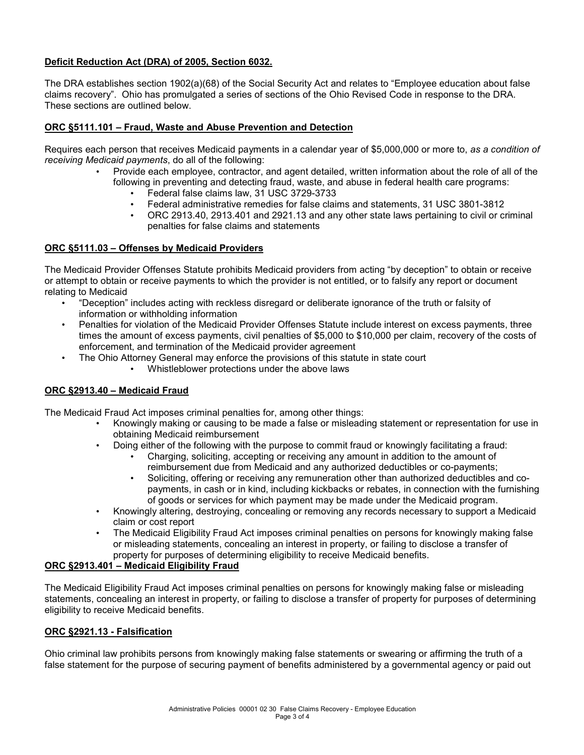## **Deficit Reduction Act (DRA) of 2005, Section 6032.**

The DRA establishes section 1902(a)(68) of the Social Security Act and relates to "Employee education about false claims recovery". Ohio has promulgated a series of sections of the Ohio Revised Code in response to the DRA. These sections are outlined below.

## **ORC §5111.101 – Fraud, Waste and Abuse Prevention and Detection**

Requires each person that receives Medicaid payments in a calendar year of \$5,000,000 or more to, *as a condition of receiving Medicaid payments*, do all of the following:

- Provide each employee, contractor, and agent detailed, written information about the role of all of the following in preventing and detecting fraud, waste, and abuse in federal health care programs:
	- Federal false claims law, 31 USC 3729-3733
	- Federal administrative remedies for false claims and statements, 31 USC 3801-3812
	- ORC 2913.40, 2913.401 and 2921.13 and any other state laws pertaining to civil or criminal penalties for false claims and statements

### **ORC §5111.03 – Offenses by Medicaid Providers**

The Medicaid Provider Offenses Statute prohibits Medicaid providers from acting "by deception" to obtain or receive or attempt to obtain or receive payments to which the provider is not entitled, or to falsify any report or document relating to Medicaid

- "Deception" includes acting with reckless disregard or deliberate ignorance of the truth or falsity of information or withholding information
- Penalties for violation of the Medicaid Provider Offenses Statute include interest on excess payments, three times the amount of excess payments, civil penalties of \$5,000 to \$10,000 per claim, recovery of the costs of enforcement, and termination of the Medicaid provider agreement
	- The Ohio Attorney General may enforce the provisions of this statute in state court
		- Whistleblower protections under the above laws

## **ORC §2913.40 – Medicaid Fraud**

The Medicaid Fraud Act imposes criminal penalties for, among other things:

- Knowingly making or causing to be made a false or misleading statement or representation for use in obtaining Medicaid reimbursement
- Doing either of the following with the purpose to commit fraud or knowingly facilitating a fraud:
	- Charging, soliciting, accepting or receiving any amount in addition to the amount of reimbursement due from Medicaid and any authorized deductibles or co-payments;
	- Soliciting, offering or receiving any remuneration other than authorized deductibles and copayments, in cash or in kind, including kickbacks or rebates, in connection with the furnishing of goods or services for which payment may be made under the Medicaid program.
- Knowingly altering, destroying, concealing or removing any records necessary to support a Medicaid claim or cost report
- The Medicaid Eligibility Fraud Act imposes criminal penalties on persons for knowingly making false or misleading statements, concealing an interest in property, or failing to disclose a transfer of property for purposes of determining eligibility to receive Medicaid benefits.

## **ORC §2913.401 – Medicaid Eligibility Fraud**

The Medicaid Eligibility Fraud Act imposes criminal penalties on persons for knowingly making false or misleading statements, concealing an interest in property, or failing to disclose a transfer of property for purposes of determining eligibility to receive Medicaid benefits.

### **ORC §2921.13 - Falsification**

Ohio criminal law prohibits persons from knowingly making false statements or swearing or affirming the truth of a false statement for the purpose of securing payment of benefits administered by a governmental agency or paid out